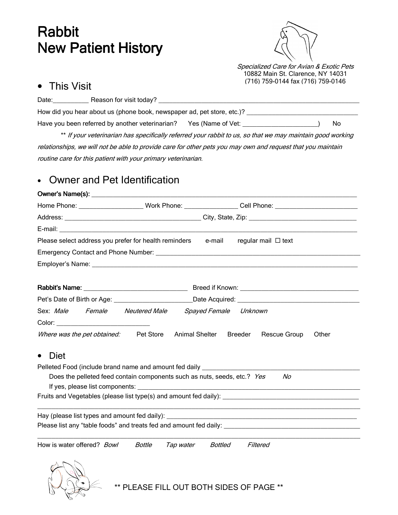## Rabbit **New Patient History**



Specialized Care for Avian & Exotic Pets 10882 Main St. Clarence, NY 14031 (716) 759-0144 fax (716) 759-0146

## • This Visit

| Date:                                                                                                     | Reason for visit today?                                              |     |  |  |  |  |
|-----------------------------------------------------------------------------------------------------------|----------------------------------------------------------------------|-----|--|--|--|--|
| How did you hear about us (phone book, newspaper ad, pet store, etc.)?                                    |                                                                      |     |  |  |  |  |
|                                                                                                           | Have you been referred by another veterinarian?<br>Yes (Name of Vet: | No. |  |  |  |  |
| ** If your veterinarian has specifically referred your rabbit to us, so that we may maintain good working |                                                                      |     |  |  |  |  |

relationships, we will not be able to provide care for other pets you may own and request that you maintain routine care for this patient with your primary veterinarian.

## • Owner and Pet Identification

|                                                                                                                                                                                                                                |                     | Home Phone: _____________________Work Phone: ________________Cell Phone: ___________________________ |  |  |  |  |  |  |  |
|--------------------------------------------------------------------------------------------------------------------------------------------------------------------------------------------------------------------------------|---------------------|------------------------------------------------------------------------------------------------------|--|--|--|--|--|--|--|
|                                                                                                                                                                                                                                |                     |                                                                                                      |  |  |  |  |  |  |  |
| E-mail: E-mail: E-mail: E-mail: E-mail: E-mail: E-mail: E-mail: E-mail: E-mail: E-mail: E-mail: E-mail: E-mail: E-mail: E-mail: E-mail: E-mail: E-mail: E-mail: E-mail: E-mail: E-mail: E-mail: E-mail: E-mail: E-mail: E-mail |                     |                                                                                                      |  |  |  |  |  |  |  |
| Please select address you prefer for health reminders e-mail                                                                                                                                                                   |                     | regular mail □ text                                                                                  |  |  |  |  |  |  |  |
|                                                                                                                                                                                                                                |                     |                                                                                                      |  |  |  |  |  |  |  |
|                                                                                                                                                                                                                                |                     |                                                                                                      |  |  |  |  |  |  |  |
|                                                                                                                                                                                                                                |                     |                                                                                                      |  |  |  |  |  |  |  |
|                                                                                                                                                                                                                                |                     |                                                                                                      |  |  |  |  |  |  |  |
|                                                                                                                                                                                                                                |                     |                                                                                                      |  |  |  |  |  |  |  |
| Sex: Male Female                                                                                                                                                                                                               | Neutered Male       | Spayed Female Unknown                                                                                |  |  |  |  |  |  |  |
| Color: ___________________________________                                                                                                                                                                                     |                     |                                                                                                      |  |  |  |  |  |  |  |
| Where was the pet obtained: Pet Store                                                                                                                                                                                          | Animal Shelter      | Breeder<br>Rescue Group<br>Other                                                                     |  |  |  |  |  |  |  |
| Diet<br>$\bullet$                                                                                                                                                                                                              |                     |                                                                                                      |  |  |  |  |  |  |  |
| Pelleted Food (include brand name and amount fed daily ___________________                                                                                                                                                     |                     |                                                                                                      |  |  |  |  |  |  |  |
| Does the pelleted feed contain components such as nuts, seeds, etc.? Yes                                                                                                                                                       |                     | No                                                                                                   |  |  |  |  |  |  |  |
|                                                                                                                                                                                                                                |                     |                                                                                                      |  |  |  |  |  |  |  |
|                                                                                                                                                                                                                                |                     |                                                                                                      |  |  |  |  |  |  |  |
|                                                                                                                                                                                                                                |                     |                                                                                                      |  |  |  |  |  |  |  |
|                                                                                                                                                                                                                                |                     | Please list any "table foods" and treats fed and amount fed daily: _________________________________ |  |  |  |  |  |  |  |
|                                                                                                                                                                                                                                |                     |                                                                                                      |  |  |  |  |  |  |  |
| How is water offered? Bowl                                                                                                                                                                                                     | Bottle<br>Tap water | Bottled<br>Filtered                                                                                  |  |  |  |  |  |  |  |
|                                                                                                                                                                                                                                |                     |                                                                                                      |  |  |  |  |  |  |  |



PLEASE FILL OUT BOTH SIDES OF PAGE \*\*